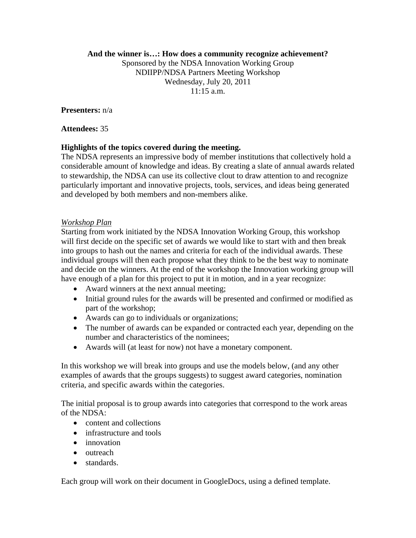### **And the winner is…: How does a community recognize achievement?**

Sponsored by the NDSA Innovation Working Group NDIIPP/NDSA Partners Meeting Workshop Wednesday, July 20, 2011  $11:15$  a.m.

**Presenters:** n/a

**Attendees:** 35

### **Highlights of the topics covered during the meeting.**

The NDSA represents an impressive body of member institutions that collectively hold a considerable amount of knowledge and ideas. By creating a slate of annual awards related to stewardship, the NDSA can use its collective clout to draw attention to and recognize particularly important and innovative projects, tools, services, and ideas being generated and developed by both members and non-members alike.

#### *Workshop Plan*

Starting from work initiated by the NDSA Innovation Working Group, this workshop will first decide on the specific set of awards we would like to start with and then break into groups to hash out the names and criteria for each of the individual awards. These individual groups will then each propose what they think to be the best way to nominate and decide on the winners. At the end of the workshop the Innovation working group will have enough of a plan for this project to put it in motion, and in a year recognize:

- Award winners at the next annual meeting;
- Initial ground rules for the awards will be presented and confirmed or modified as part of the workshop;
- Awards can go to individuals or organizations;
- The number of awards can be expanded or contracted each year, depending on the number and characteristics of the nominees;
- Awards will (at least for now) not have a monetary component.

In this workshop we will break into groups and use the models below, (and any other examples of awards that the groups suggests) to suggest award categories, nomination criteria, and specific awards within the categories.

The initial proposal is to group awards into categories that correspond to the work areas of the NDSA:

- content and collections
- infrastructure and tools
- innovation
- outreach
- standards.

Each group will work on their document in GoogleDocs, using a defined template.